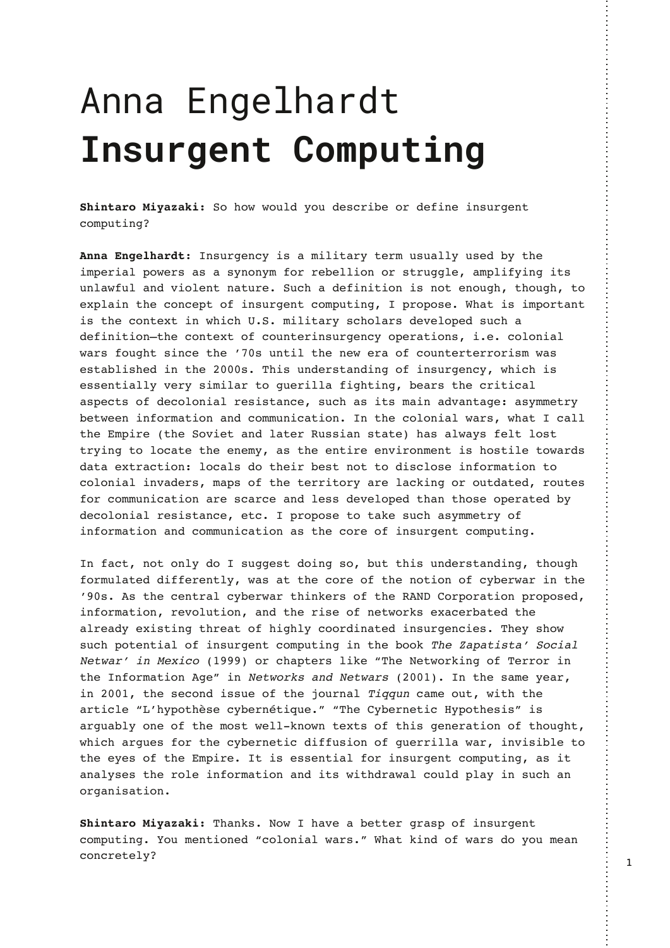## Anna Engelhardt **Insurgent Computing**

**Shintaro Miyazaki:** So how would you describe or define insurgent computing?

**Anna Engelhardt**: Insurgency is a military term usually used by the imperial powers as a synonym for rebellion or struggle, amplifying its unlawful and violent nature. Such a definition is not enough, though, to explain the concept of insurgent computing, I propose. What is important is the context in which U.S. military scholars developed such a definition—the context of counterinsurgency operations, i.e. colonial wars fought since the '70s until the new era of counterterrorism was established in the 2000s. This understanding of insurgency, which is essentially very similar to guerilla fighting, bears the critical aspects of decolonial resistance, such as its main advantage: asymmetry between information and communication. In the colonial wars, what I call the Empire (the Soviet and later Russian state) has always felt lost trying to locate the enemy, as the entire environment is hostile towards data extraction: locals do their best not to disclose information to colonial invaders, maps of the territory are lacking or outdated, routes for communication are scarce and less developed than those operated by decolonial resistance, etc. I propose to take such asymmetry of information and communication as the core of insurgent computing.

In fact, not only do I suggest doing so, but this understanding, though formulated differently, was at the core of the notion of cyberwar in the '90s. As the central cyberwar thinkers of the RAND Corporation proposed, information, revolution, and the rise of networks exacerbated the already existing threat of highly coordinated insurgencies. They show such potential of insurgent computing in the book The Zapatista' Social Netwar' in Mexico (1999) or chapters like "The Networking of Terror in the Information Age" in Networks and Netwars (2001). In the same year, in 2001, the second issue of the journal Tiqqun came out, with the article "L'hypothèse cybernétique." "The Cybernetic Hypothesis" is arguably one of the most well-known texts of this generation of thought, which argues for the cybernetic diffusion of guerrilla war, invisible to the eyes of the Empire. It is essential for insurgent computing, as it analyses the role information and its withdrawal could play in such an organisation.

**Shintaro Miyazaki:** Thanks. Now I have a better grasp of insurgent computing. You mentioned "colonial wars." What kind of wars do you mean concretely?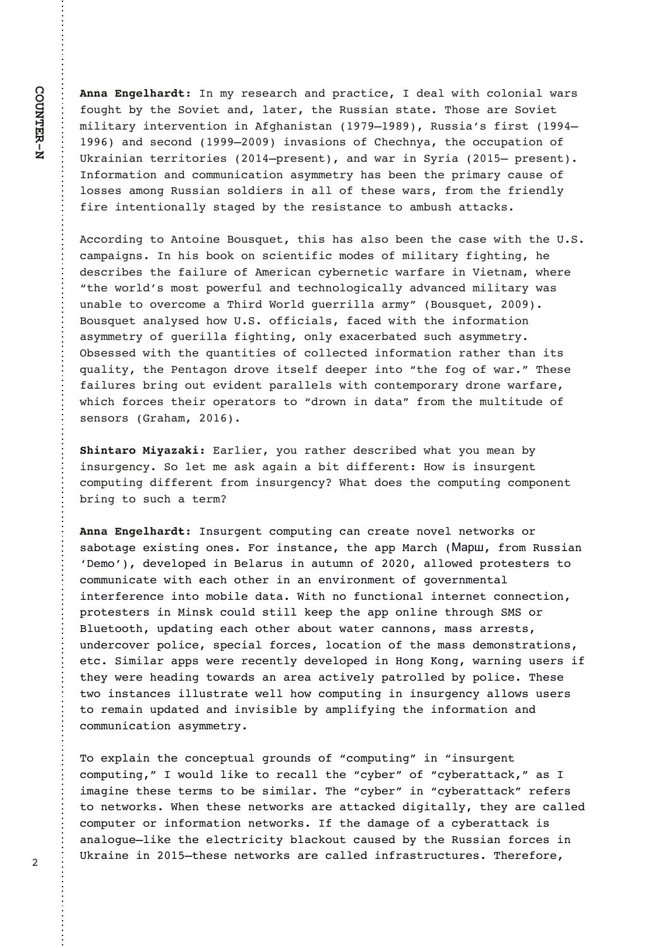**Anna Engelhardt**: In my research and practice, I deal with colonial wars fought by the Soviet and, later, the Russian state. Those are Soviet military intervention in Afghanistan (1979–1989), Russia's first (1994– 1996) and second (1999–2009) invasions of Chechnya, the occupation of Ukrainian territories (2014–present), and war in Syria (2015– present). Information and communication asymmetry has been the primary cause of losses among Russian soldiers in all of these wars, from the friendly fire intentionally staged by the resistance to ambush attacks.

According to Antoine Bousquet, this has also been the case with the U.S. campaigns. In his book on scientific modes of military fighting, he describes the failure of American cybernetic warfare in Vietnam, where "the world's most powerful and technologically advanced military was unable to overcome a Third World guerrilla army" (Bousquet, 2009). Bousquet analysed how U.S. officials, faced with the information asymmetry of guerilla fighting, only exacerbated such asymmetry. Obsessed with the quantities of collected information rather than its quality, the Pentagon drove itself deeper into "the fog of war." These failures bring out evident parallels with contemporary drone warfare, which forces their operators to "drown in data" from the multitude of sensors (Graham, 2016).

**Shintaro Miyazaki:** Earlier, you rather described what you mean by insurgency. So let me ask again a bit different: How is insurgent computing different from insurgency? What does the computing component bring to such a term?

**Anna Engelhardt**: Insurgent computing can create novel networks or sabotage existing ones. For instance, the app March (Марш, from Russian 'Demo'), developed in Belarus in autumn of 2020, allowed protesters to communicate with each other in an environment of governmental interference into mobile data. With no functional internet connection, protesters in Minsk could still keep the app online through SMS or Bluetooth, updating each other about water cannons, mass arrests, undercover police, special forces, location of the mass demonstrations, etc. Similar apps were recently developed in Hong Kong, warning users if they were heading towards an area actively patrolled by police. These two instances illustrate well how computing in insurgency allows users to remain updated and invisible by amplifying the information and communication asymmetry.

To explain the conceptual grounds of "computing" in "insurgent computing," I would like to recall the "cyber" of "cyberattack," as I imagine these terms to be similar. The "cyber" in "cyberattack" refers to networks. When these networks are attacked digitally, they are called computer or information networks. If the damage of a cyberattack is analogue—like the electricity blackout caused by the Russian forces in Ukraine in 2015—these networks are called infrastructures. Therefore,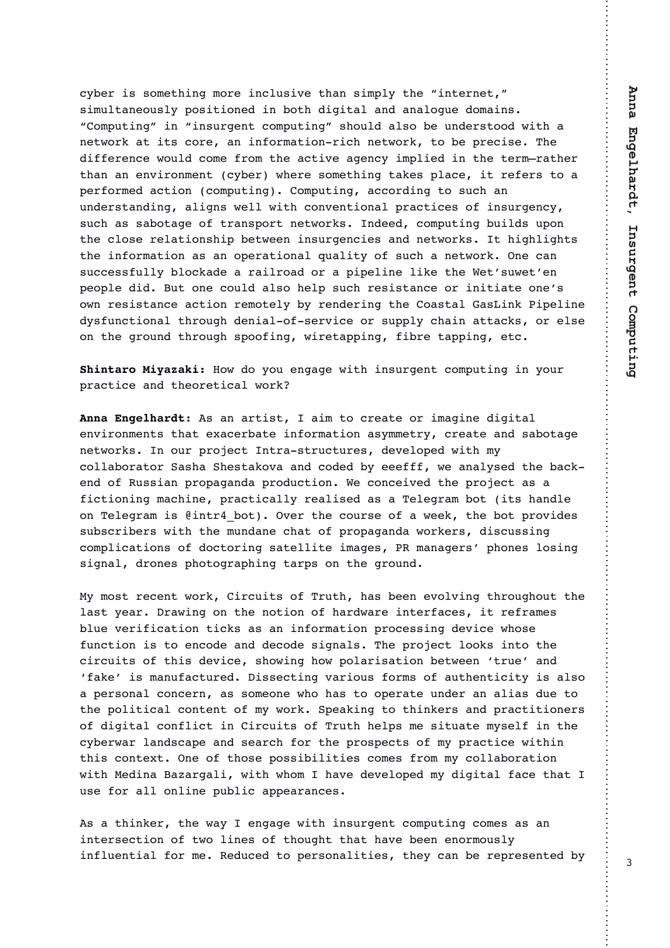cyber is something more inclusive than simply the "internet," simultaneously positioned in both digital and analogue domains. "Computing" in "insurgent computing" should also be understood with a network at its core, an information-rich network, to be precise. The difference would come from the active agency implied in the term—rather than an environment (cyber) where something takes place, it refers to a performed action (computing). Computing, according to such an understanding, aligns well with conventional practices of insurgency, such as sabotage of transport networks. Indeed, computing builds upon the close relationship between insurgencies and networks. It highlights the information as an operational quality of such a network. One can successfully blockade a railroad or a pipeline like the Wet'suwet'en people did. But one could also help such resistance or initiate one's own resistance action remotely by rendering the Coastal GasLink Pipeline dysfunctional through denial-of-service or supply chain attacks, or else on the ground through spoofing, wiretapping, fibre tapping, etc.

**Shintaro Miyazaki:** How do you engage with insurgent computing in your practice and theoretical work?

**Anna Engelhardt**: As an artist, I aim to create or imagine digital environments that exacerbate information asymmetry, create and sabotage networks. In our project Intra-structures, developed with my collaborator Sasha Shestakova and coded by eeefff, we analysed the backend of Russian propaganda production. We conceived the project as a fictioning machine, practically realised as a Telegram bot (its handle on Telegram is @intr4\_bot). Over the course of a week, the bot provides subscribers with the mundane chat of propaganda workers, discussing complications of doctoring satellite images, PR managers' phones losing signal, drones photographing tarps on the ground.

My most recent work, Circuits of Truth, has been evolving throughout the last year. Drawing on the notion of hardware interfaces, it reframes blue verification ticks as an information processing device whose function is to encode and decode signals. The project looks into the circuits of this device, showing how polarisation between 'true' and 'fake' is manufactured. Dissecting various forms of authenticity is also a personal concern, as someone who has to operate under an alias due to the political content of my work. Speaking to thinkers and practitioners of digital conflict in Circuits of Truth helps me situate myself in the cyberwar landscape and search for the prospects of my practice within this context. One of those possibilities comes from my collaboration with Medina Bazargali, with whom I have developed my digital face that I use for all online public appearances.

As a thinker, the way I engage with insurgent computing comes as an intersection of two lines of thought that have been enormously influential for me. Reduced to personalities, they can be represented by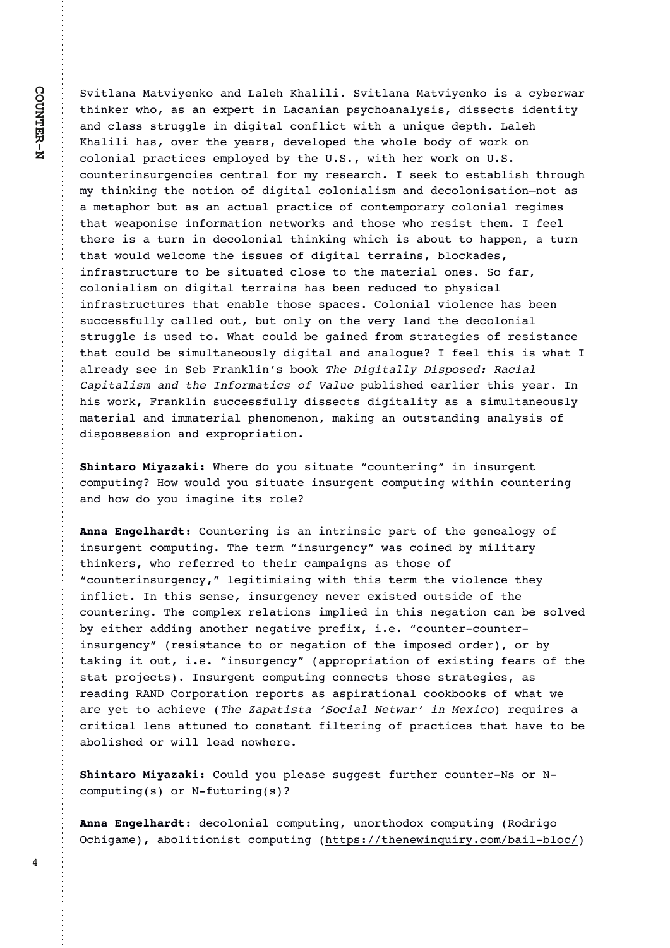%A4?7, 9, , ?A4D096: , 9/ , 703 3, 7474 %A4?7, 9, , ?A4D096: 4>, D-0=B, = ?34960=B3:,>,90C;0=?49,.,94,9;>D.3:,9,7D>4>/4>>0.?>4/09?4?D ,9/.7,>>>?=@227049/424?,7.:9174.?B4?3,@94<@0/0;?3,703 3,74743,>:A0=?30D0,=>/0A07:;0/?30B3:70-:/D:1B:=6:9 .:7:94,7; =, .?4.0 > 08;7:D0/ -D ?30 ' % B4?3 30 = B: =6:9 ' % .: @9?0=49> @=209.40> .09?=, 7 1: = 8D =0>0, =. 3 > 006 ?: 0>?, - 74>3 ?3=: @23 8D ?3496492 ?30 9: ?4: 9 : 1 / 424?, 7 .: 7: 94, 74>8, 9/ / 0.: 7: 94>, ?4: 9I 9: ?, > , 80?,; $3:=-\omega$ ,  $>0$ , . ? $\omega$ , 7 ; =, . ?4.0:1.:9?08;:=, =D.:7:94,7 = 02480 $>$ ?3, ? B0, ; : 94>0 491: =8, ?4: 9 90?B: =6>, 9/ ?3: >0 B3: =0>4>? ?308 1007 ?30=04>,?@=949/0.:7:94,7?3496492B34.34>,-:@??:3,;;09,?@=9 ?3,?B:@7/B07.:80?304>>@0>:1/424?,7?0==,49>-7:.6,/0> 491=, >?=@?@=0 ?: -0 >4?@?0/ . 7: >0 ?: ?30 8, ?0=4, 7 : 90> % 1, = .:7:94,74>8:9 / 424?,7 ?0==,49> 3,> -009 =0/@.0/ ?:;3D>4.,7 491=,  $>?$  = @ ? @ -0 > ?3, ? 09, -70 ?3:  $>0$  >;, . 0 > : 7: 94, 7 A4: 709. 0 3,  $> 0.09$ >@..0>>1@77D.,770/:@?-@?:97D:9?30A0=D7,9/?30/0.:7:94,7  $>$ ?=@270 4> @0/ ?: )3,?.:@7/ -0 2,490/ 1=:8 >?=,?0240> :1 =0>4>?,9.0 ?3,?.:@7/-0>48@7?,90:@>7D/424?,7,9/,9,7:2@01007?34>4>B3,?  $, 7=0, / D > 00, 49, \% = .96749M = : : 6$ "-mail: "The Contract of the Contract of the Contract of the Contract of the Contract of the Contract of the Contract of the Contract of the Contract of the Contract of the Contract of the Contract of the Contract of the C

;  $@74>30/0$ ,  $=740=?34>$  D0,  $=$  9 34>B:=6=,96749>@..0>>1@77D/4>>0.?>/424?,74?D,>,>48@7?,90:@>7D 8, ?0=4, 7, 9/ 488, ?0=4, 7;309:809:9 8, 6492, 9: @>?, 9/492, 9, 7D>4>:1  $/4$ >;:>>0>>4:9,9/0C;=:;=4,?4:9

)30=0/:D:@>4?@,?0J.:@9?0=492K4949>@=209? .:8;  $@$  492 : B B:  $@$ / D:  $@$  >4? $@$  ?0 49> $@$ =209?.:8;  $@$  492 B4?349.: $@$  ?0=492 ,9/3:B/:D:@48,24904?>=:70

:@9?0=4924>,949?=49>4.;,=?:1?302090,7:2D:1 49>@=209?.:8;@?492&30?0=8J49>@=209.DKB,>.:490/-D8474?,=D ?34960=>B3:=010==0/?:?304=.,8;,429>,>?3:>0:1 J.:@9?0=49>@=209.DK7024?484>492B4?3?34>?0=8?30A4:709.0?30D 49174.?9?34>>09>049>@=209.D90A0=0C4>?0/:@?>4/0:1?30  $\therefore$  @9?0=492 &30  $\therefore$  8;70C = 07, ?4: 9> 48; 740/ 49 ?34> 902, ?4: 9  $\therefore$  9 - 0 >:7A0/ -D04?30=,//492,9:?30=902,?4A0;=014C40J.:@9?0=.:@9?0= 49>@=209.DK-=0>4>?,9.0?::=902,?4:9:1?3048;:>0/:=/0=:=-D ?, 6492 4? : @? 4 0 J49>@=209. DK, ;; =:; =4, ?4: 9 : 1 0C4>?492 10, => : 1 ?30  $>$ ?, ?;=:50. ?> 9>@=209?.:8; @2492.:990. ?> ?3: >0 >?=, ?0240>, >  $=0, 492$  \$! :=;:=, ?4: 9  $=0$ ;:=?>, >, >; 4=, ?4: 9, 7 .:: 6-:: 6> : 1 B3, ? B0 ,=0D0??:,.340A0-  $\uparrow$  #  $\qquad$   $\qquad$   $\qquad$   $\qquad$   $\qquad$   $\qquad$   $\qquad$   $\qquad$   $\qquad$   $\qquad$   $\qquad$   $\qquad$   $\qquad$   $\qquad$   $\qquad$   $\qquad$   $\qquad$   $\qquad$   $\qquad$   $\qquad$   $\qquad$   $\qquad$   $\qquad$   $\qquad$   $\qquad$   $\qquad$   $\qquad$   $\qquad$   $\qquad$   $\qquad$   $\qquad$   $\qquad$   $\qquad$   $\qquad$   $\qquad$   $\q$  $. =4?4.7709$ >,  $??@90/?: .:9$ >?, 9? 147?0=492 : 1 ; =, . ?4.0 > ?3, ? 3, A0 ?: -0  $, -:74>30/:=B477770, /9: B30=0$ 

:  $\overline{Q}$ / D:  $\overline{Q}$ ; 70, >0 > $\overline{Q}$ 20>? 1 $\overline{Q}$ = ?30= :  $\overline{Q}$ 9?0= !> := !  $\therefore$  8; @2492 >  $\therefore$  = ! 1@ @=492 >

/0.:7:94,7.:8;@?492@9:=?3:/:C.:8;@?492-\$:/=42: ".342,80,-:74?4:94>?.:8;@?492-[3??;>?3090B49<@4=D.:8-,47-7:.](https://thenewinquiry.com/bail-bloc/)